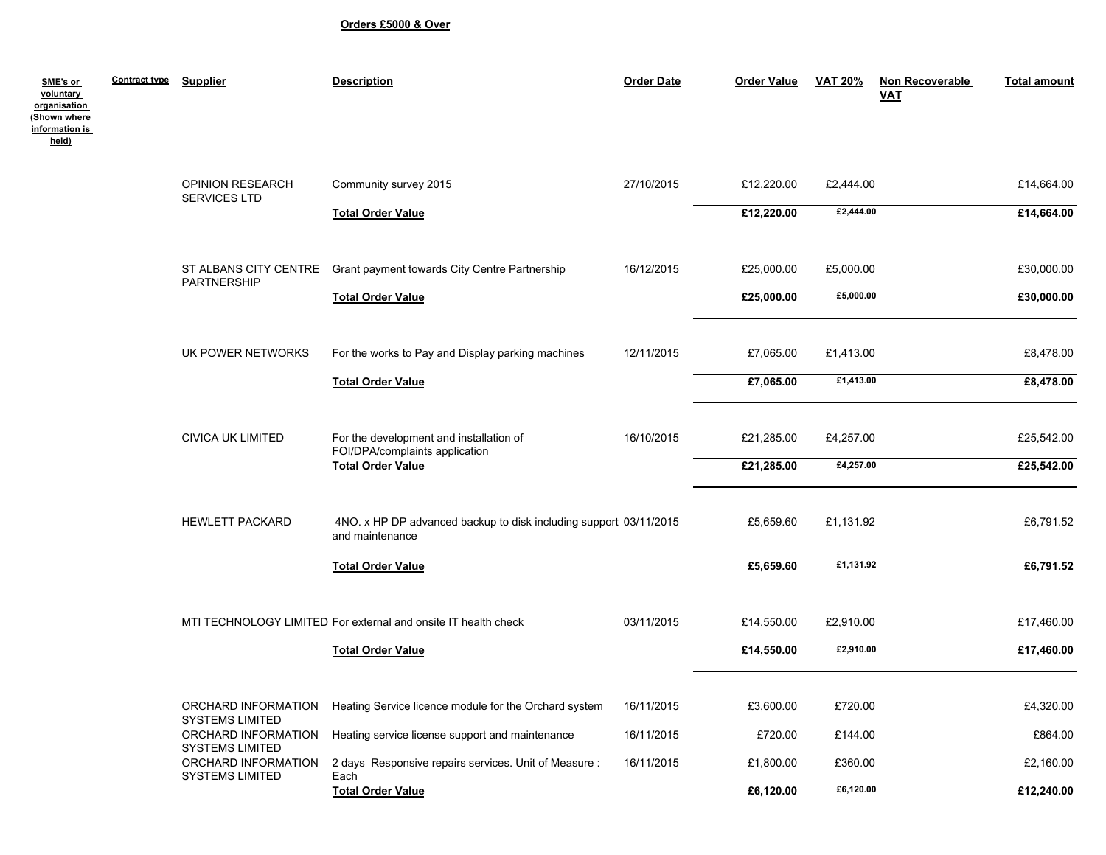## **Orders £5000 & Over**

| SME's or<br>voluntary<br>organisation<br>Shown where | <b>Contract type</b> | <b>Supplier</b>                               | <b>Description</b>                                                                   | <b>Order Date</b> | <b>Order Value</b> | <b>VAT 20%</b> | Non Recoverable<br><b>VAT</b> | <b>Total amount</b> |
|------------------------------------------------------|----------------------|-----------------------------------------------|--------------------------------------------------------------------------------------|-------------------|--------------------|----------------|-------------------------------|---------------------|
| information is<br>held)                              |                      |                                               |                                                                                      |                   |                    |                |                               |                     |
|                                                      |                      | <b>OPINION RESEARCH</b><br>SERVICES LTD       | Community survey 2015                                                                | 27/10/2015        | £12,220.00         | £2,444.00      |                               | £14,664.00          |
|                                                      |                      |                                               | <b>Total Order Value</b>                                                             |                   | £12,220.00         | £2,444.00      |                               | £14,664.00          |
|                                                      |                      | ST ALBANS CITY CENTRE                         | Grant payment towards City Centre Partnership                                        | 16/12/2015        | £25,000.00         | £5,000.00      |                               | £30,000.00          |
|                                                      |                      | PARTNERSHIP                                   | <b>Total Order Value</b>                                                             |                   | £25,000.00         | £5,000.00      |                               | £30,000.00          |
|                                                      |                      | UK POWER NETWORKS                             | For the works to Pay and Display parking machines                                    | 12/11/2015        | £7,065.00          | £1,413.00      |                               | £8,478.00           |
|                                                      |                      |                                               | <b>Total Order Value</b>                                                             |                   | £7,065.00          | £1,413.00      |                               | £8,478.00           |
|                                                      |                      | <b>CIVICA UK LIMITED</b>                      | For the development and installation of<br>FOI/DPA/complaints application            | 16/10/2015        | £21,285.00         | £4,257.00      |                               | £25,542.00          |
|                                                      |                      |                                               | <b>Total Order Value</b>                                                             |                   | £21,285.00         | £4,257.00      |                               | £25,542.00          |
|                                                      |                      | <b>HEWLETT PACKARD</b>                        | 4NO. x HP DP advanced backup to disk including support 03/11/2015<br>and maintenance |                   | £5,659.60          | £1,131.92      |                               | £6,791.52           |
|                                                      |                      |                                               | <b>Total Order Value</b>                                                             |                   | £5,659.60          | £1,131.92      |                               | £6,791.52           |
|                                                      |                      |                                               | MTI TECHNOLOGY LIMITED For external and onsite IT health check                       | 03/11/2015        | £14,550.00         | £2,910.00      |                               | £17,460.00          |
|                                                      |                      |                                               | <b>Total Order Value</b>                                                             |                   | £14,550.00         | £2,910.00      |                               | £17,460.00          |
|                                                      |                      | ORCHARD INFORMATION<br><b>SYSTEMS LIMITED</b> | Heating Service licence module for the Orchard system                                | 16/11/2015        | £3,600.00          | £720.00        |                               | £4,320.00           |
|                                                      |                      | ORCHARD INFORMATION<br><b>SYSTEMS LIMITED</b> | Heating service license support and maintenance                                      | 16/11/2015        | £720.00            | £144.00        |                               | £864.00             |
|                                                      |                      | ORCHARD INFORMATION<br><b>SYSTEMS LIMITED</b> | 2 days Responsive repairs services. Unit of Measure :<br>Each                        | 16/11/2015        | £1,800.00          | £360.00        |                               | £2,160.00           |
|                                                      |                      |                                               | <b>Total Order Value</b>                                                             |                   | £6,120.00          | £6,120.00      |                               | £12,240.00          |
|                                                      |                      |                                               |                                                                                      |                   |                    |                |                               |                     |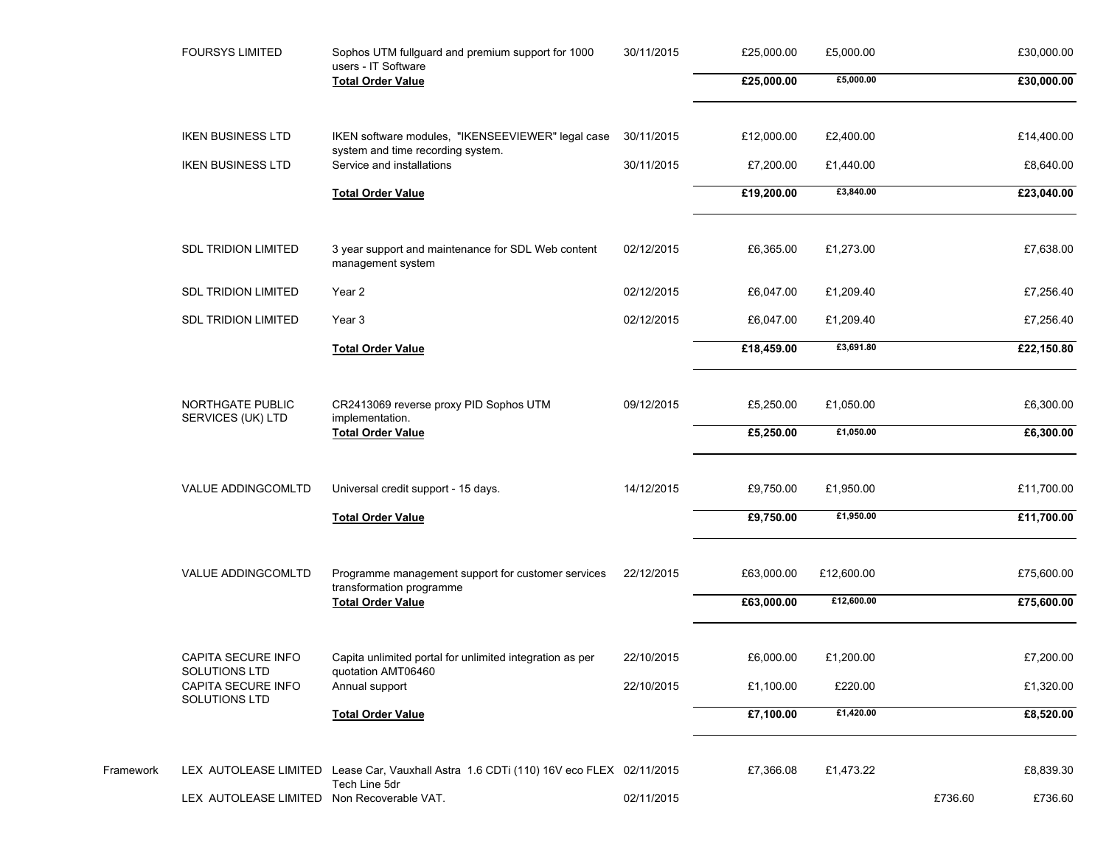| <b>FOURSYS LIMITED</b>                     | Sophos UTM fullguard and premium support for 1000<br>users - IT Software               | 30/11/2015 | £25,000.00 | £5,000.00  |         | £30,000.00 |
|--------------------------------------------|----------------------------------------------------------------------------------------|------------|------------|------------|---------|------------|
|                                            | <b>Total Order Value</b>                                                               |            | £25,000.00 | £5,000.00  |         | £30,000.00 |
| <b>IKEN BUSINESS LTD</b>                   | IKEN software modules, "IKENSEEVIEWER" legal case                                      | 30/11/2015 | £12,000.00 | £2,400.00  |         | £14,400.00 |
| <b>IKEN BUSINESS LTD</b>                   | system and time recording system.<br>Service and installations                         | 30/11/2015 | £7,200.00  | £1,440.00  |         | £8,640.00  |
|                                            | <b>Total Order Value</b>                                                               |            | £19,200.00 | £3,840.00  |         | £23,040.00 |
| <b>SDL TRIDION LIMITED</b>                 | 3 year support and maintenance for SDL Web content<br>management system                | 02/12/2015 | £6,365.00  | £1,273.00  |         | £7,638.00  |
| <b>SDL TRIDION LIMITED</b>                 | Year 2                                                                                 | 02/12/2015 | £6,047.00  | £1,209.40  |         | £7,256.40  |
| <b>SDL TRIDION LIMITED</b>                 | Year 3                                                                                 | 02/12/2015 | £6,047.00  | £1,209.40  |         | £7,256.40  |
|                                            | <b>Total Order Value</b>                                                               |            | £18,459.00 | £3,691.80  |         | £22,150.80 |
| NORTHGATE PUBLIC<br>SERVICES (UK) LTD      | CR2413069 reverse proxy PID Sophos UTM<br>implementation.                              | 09/12/2015 | £5,250.00  | £1,050.00  |         | £6,300.00  |
|                                            | <b>Total Order Value</b>                                                               |            | £5,250.00  | £1,050.00  |         | £6,300.00  |
| VALUE ADDINGCOMLTD                         | Universal credit support - 15 days.                                                    | 14/12/2015 | £9,750.00  | £1,950.00  |         | £11,700.00 |
|                                            | <b>Total Order Value</b>                                                               |            | £9,750.00  | £1,950.00  |         | £11,700.00 |
| <b>VALUE ADDINGCOMLTD</b>                  | Programme management support for customer services<br>transformation programme         | 22/12/2015 | £63,000.00 | £12,600.00 |         | £75,600.00 |
|                                            | <b>Total Order Value</b>                                                               |            | £63,000.00 | £12,600.00 |         | £75,600.00 |
| <b>CAPITA SECURE INFO</b><br>SOLUTIONS LTD | Capita unlimited portal for unlimited integration as per                               | 22/10/2015 | £6,000.00  | £1,200.00  |         | £7,200.00  |
| CAPITA SECURE INFO<br>SOLUTIONS LTD        | quotation AMT06460<br>Annual support                                                   | 22/10/2015 | £1,100.00  | £220.00    |         | £1,320.00  |
|                                            | <b>Total Order Value</b>                                                               |            | £7,100.00  | £1,420.00  |         | £8,520.00  |
|                                            | LEX AUTOLEASE LIMITED Lease Car, Vauxhall Astra 1.6 CDTi (110) 16V eco FLEX 02/11/2015 |            | £7,366.08  | £1,473.22  |         | £8,839.30  |
| LEX AUTOLEASE LIMITED Non Recoverable VAT. | Tech Line 5dr                                                                          | 02/11/2015 |            |            | £736.60 | £736.60    |
|                                            |                                                                                        |            |            |            |         |            |

Framework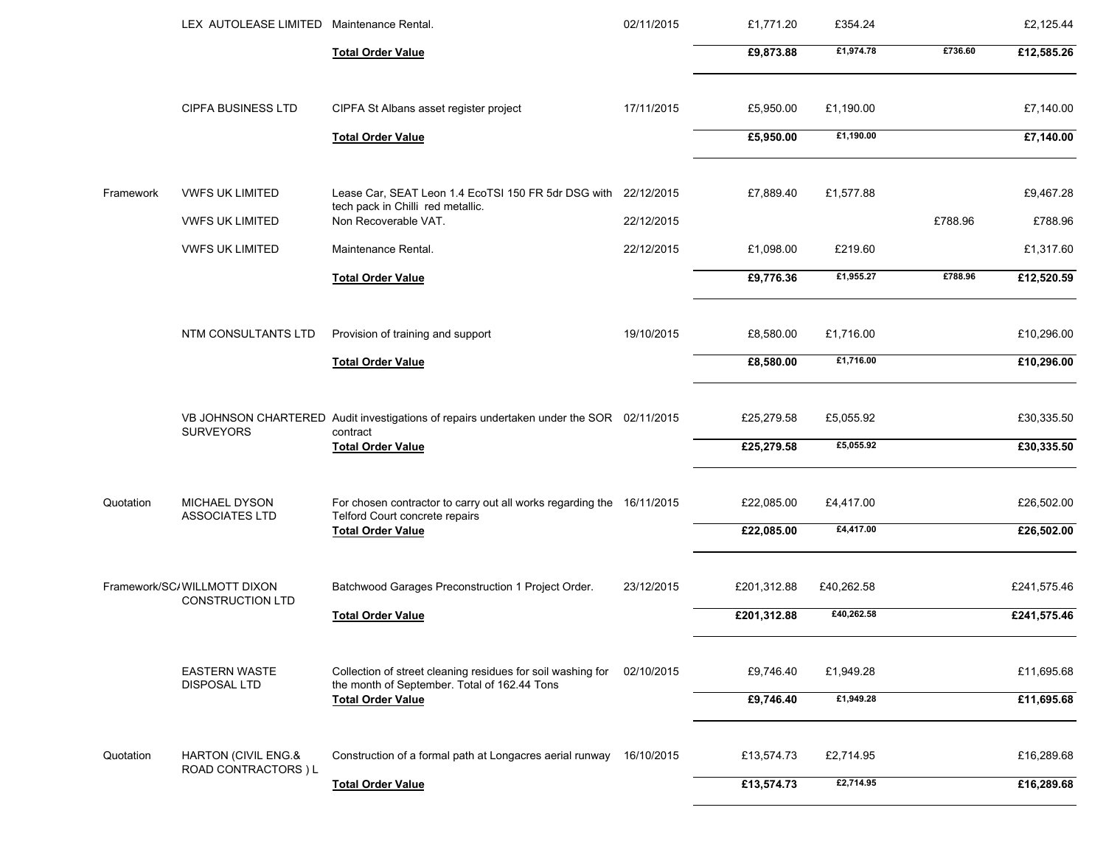|           | LEX AUTOLEASE LIMITED Maintenance Rental.              |                                                                                                             | 02/11/2015 | £1,771.20   | £354.24    |         | £2,125.44   |
|-----------|--------------------------------------------------------|-------------------------------------------------------------------------------------------------------------|------------|-------------|------------|---------|-------------|
|           |                                                        | <b>Total Order Value</b>                                                                                    |            | £9,873.88   | £1,974.78  | £736.60 | £12,585.26  |
|           | <b>CIPFA BUSINESS LTD</b>                              | CIPFA St Albans asset register project                                                                      | 17/11/2015 | £5,950.00   | £1,190.00  |         | £7,140.00   |
|           |                                                        | <b>Total Order Value</b>                                                                                    |            | £5,950.00   | £1,190.00  |         | £7,140.00   |
| Framework | <b>VWFS UK LIMITED</b>                                 | Lease Car, SEAT Leon 1.4 EcoTSI 150 FR 5dr DSG with 22/12/2015                                              |            | £7,889.40   | £1,577.88  |         | £9,467.28   |
|           | <b>VWFS UK LIMITED</b>                                 | tech pack in Chilli red metallic.<br>Non Recoverable VAT.                                                   | 22/12/2015 |             |            | £788.96 | £788.96     |
|           | <b>VWFS UK LIMITED</b>                                 | Maintenance Rental.                                                                                         | 22/12/2015 | £1,098.00   | £219.60    |         | £1,317.60   |
|           |                                                        | <b>Total Order Value</b>                                                                                    |            | £9,776.36   | £1,955.27  | £788.96 | £12,520.59  |
|           | <b>NTM CONSULTANTS LTD</b>                             | Provision of training and support                                                                           | 19/10/2015 | £8,580.00   | £1,716.00  |         | £10,296.00  |
|           |                                                        | <b>Total Order Value</b>                                                                                    |            | £8,580.00   | £1,716.00  |         | £10,296.00  |
|           | <b>SURVEYORS</b>                                       | VB JOHNSON CHARTERED Audit investigations of repairs undertaken under the SOR 02/11/2015<br>contract        |            | £25,279.58  | £5,055.92  |         | £30,335.50  |
|           |                                                        | <b>Total Order Value</b>                                                                                    |            | £25,279.58  | £5,055.92  |         | £30,335.50  |
| Quotation | MICHAEL DYSON<br><b>ASSOCIATES LTD</b>                 | For chosen contractor to carry out all works regarding the 16/11/2015<br>Telford Court concrete repairs     |            | £22,085.00  | £4,417.00  |         | £26,502.00  |
|           |                                                        | <b>Total Order Value</b>                                                                                    |            | £22,085.00  | £4,417.00  |         | £26,502.00  |
|           | Framework/SC/WILLMOTT DIXON<br><b>CONSTRUCTION LTD</b> | Batchwood Garages Preconstruction 1 Project Order.                                                          | 23/12/2015 | £201,312.88 | £40,262.58 |         | £241,575.46 |
|           |                                                        | <b>Total Order Value</b>                                                                                    |            | £201,312.88 | £40,262.58 |         | £241,575.46 |
|           | <b>EASTERN WASTE</b><br><b>DISPOSAL LTD</b>            | Collection of street cleaning residues for soil washing for<br>the month of September. Total of 162.44 Tons | 02/10/2015 | £9,746.40   | £1,949.28  |         | £11,695.68  |
|           |                                                        | <b>Total Order Value</b>                                                                                    |            | £9,746.40   | £1,949.28  |         | £11,695.68  |
| Quotation | HARTON (CIVIL ENG.&<br>ROAD CONTRACTORS ) L            | Construction of a formal path at Longacres aerial runway 16/10/2015                                         |            | £13,574.73  | £2,714.95  |         | £16,289.68  |
|           |                                                        | <b>Total Order Value</b>                                                                                    |            | £13,574.73  | £2,714.95  |         | £16,289.68  |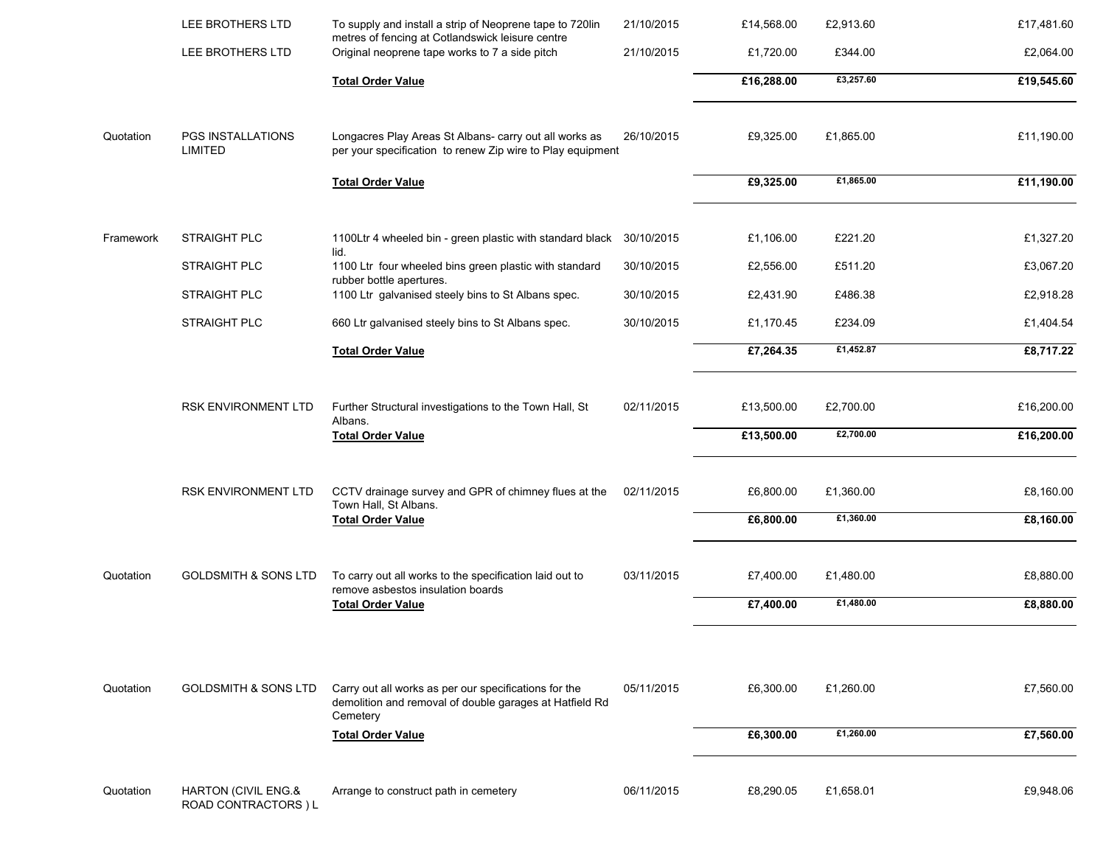|           | LEE BROTHERS LTD                            | To supply and install a strip of Neoprene tape to 720lin<br>metres of fencing at Cotlandswick leisure centre                                             | 21/10/2015 | £14,568.00               | £2,913.60              | £17,481.60               |
|-----------|---------------------------------------------|----------------------------------------------------------------------------------------------------------------------------------------------------------|------------|--------------------------|------------------------|--------------------------|
|           | LEE BROTHERS LTD                            | Original neoprene tape works to 7 a side pitch                                                                                                           | 21/10/2015 | £1,720.00                | £344.00                | £2,064.00                |
|           |                                             | <b>Total Order Value</b>                                                                                                                                 |            | £16,288.00               | £3,257.60              | £19,545.60               |
| Quotation | PGS INSTALLATIONS<br><b>LIMITED</b>         | Longacres Play Areas St Albans- carry out all works as<br>per your specification to renew Zip wire to Play equipment                                     | 26/10/2015 | £9,325.00                | £1,865.00              | £11,190.00               |
|           |                                             | <b>Total Order Value</b>                                                                                                                                 |            | £9,325.00                | £1,865.00              | £11,190.00               |
| Framework | <b>STRAIGHT PLC</b>                         | 1100Ltr 4 wheeled bin - green plastic with standard black                                                                                                | 30/10/2015 | £1,106.00                | £221.20                | £1,327.20                |
|           | <b>STRAIGHT PLC</b>                         | lid.<br>1100 Ltr four wheeled bins green plastic with standard                                                                                           | 30/10/2015 | £2,556.00                | £511.20                | £3,067.20                |
|           | <b>STRAIGHT PLC</b>                         | rubber bottle apertures.<br>1100 Ltr galvanised steely bins to St Albans spec.                                                                           | 30/10/2015 | £2,431.90                | £486.38                | £2,918.28                |
|           | STRAIGHT PLC                                | 660 Ltr galvanised steely bins to St Albans spec.                                                                                                        | 30/10/2015 | £1,170.45                | £234.09                | £1,404.54                |
|           |                                             | <b>Total Order Value</b>                                                                                                                                 |            | £7,264.35                | £1,452.87              | £8,717.22                |
|           | RSK ENVIRONMENT LTD                         | Further Structural investigations to the Town Hall, St<br>Albans.<br><b>Total Order Value</b>                                                            | 02/11/2015 | £13,500.00<br>£13,500.00 | £2,700.00<br>£2,700.00 | £16,200.00<br>£16,200.00 |
|           | RSK ENVIRONMENT LTD                         | CCTV drainage survey and GPR of chimney flues at the<br>Town Hall, St Albans.<br><b>Total Order Value</b>                                                | 02/11/2015 | £6,800.00<br>£6,800.00   | £1,360.00<br>£1,360.00 | £8,160.00<br>£8,160.00   |
| Quotation | <b>GOLDSMITH &amp; SONS LTD</b>             | To carry out all works to the specification laid out to<br>remove asbestos insulation boards<br><b>Total Order Value</b>                                 | 03/11/2015 | £7,400.00<br>£7,400.00   | £1,480.00<br>£1,480.00 | £8,880.00<br>£8,880.00   |
| Quotation | <b>GOLDSMITH &amp; SONS LTD</b>             | Carry out all works as per our specifications for the<br>demolition and removal of double garages at Hatfield Rd<br>Cemetery<br><b>Total Order Value</b> | 05/11/2015 | £6,300.00<br>£6,300.00   | £1,260.00<br>£1,260.00 | £7,560.00<br>£7,560.00   |
| Quotation | HARTON (CIVIL ENG.&<br>ROAD CONTRACTORS ) L | Arrange to construct path in cemetery                                                                                                                    | 06/11/2015 | £8,290.05                | £1,658.01              | £9,948.06                |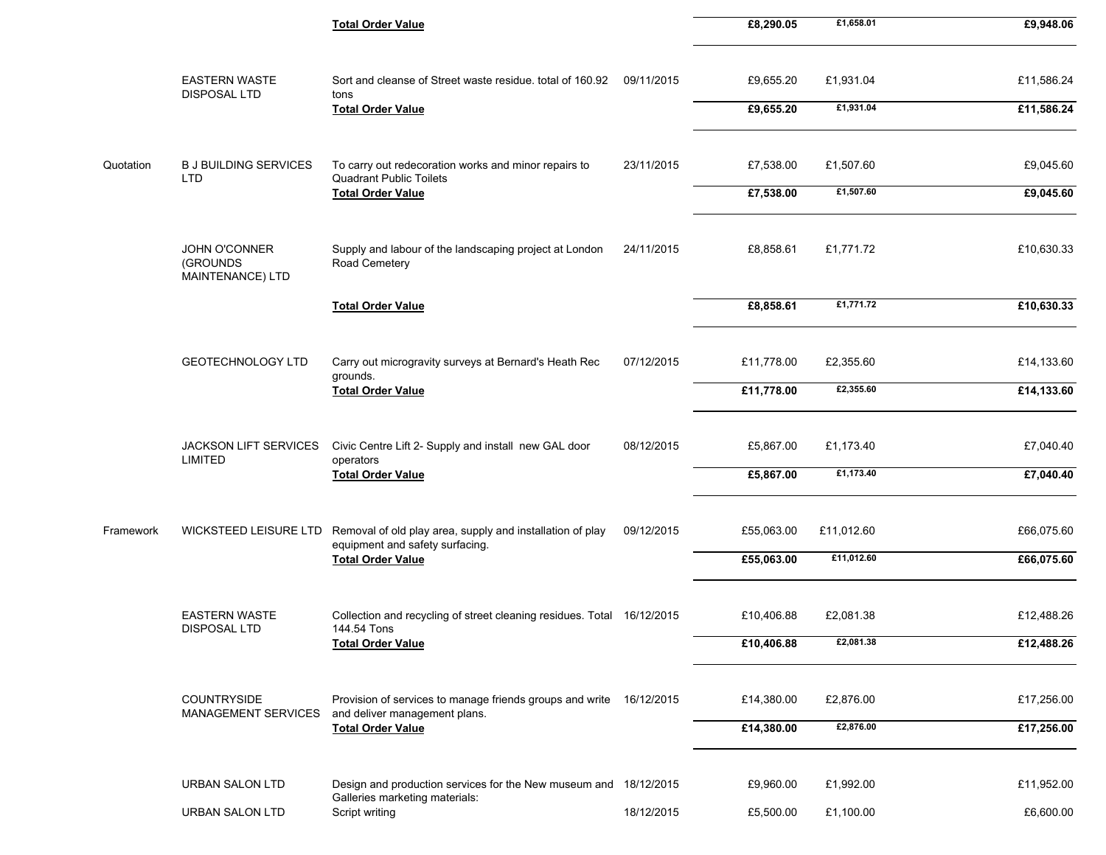|           |                                                      | <b>Total Order Value</b>                                                                             |            | £8,290.05  | £1,658.01  | £9,948.06  |
|-----------|------------------------------------------------------|------------------------------------------------------------------------------------------------------|------------|------------|------------|------------|
|           | <b>EASTERN WASTE</b><br>DISPOSAL LTD                 | Sort and cleanse of Street waste residue, total of 160.92<br>tons                                    | 09/11/2015 | £9,655.20  | £1,931.04  | £11,586.24 |
|           |                                                      | <b>Total Order Value</b>                                                                             |            | £9,655.20  | £1,931.04  | £11,586.24 |
| Quotation | <b>B J BUILDING SERVICES</b><br><b>LTD</b>           | To carry out redecoration works and minor repairs to<br><b>Quadrant Public Toilets</b>               | 23/11/2015 | £7,538.00  | £1,507.60  | £9,045.60  |
|           |                                                      | <b>Total Order Value</b>                                                                             |            | £7,538.00  | £1,507.60  | £9,045.60  |
|           | <b>JOHN O'CONNER</b><br>(GROUNDS<br>MAINTENANCE) LTD | Supply and labour of the landscaping project at London<br>Road Cemetery                              | 24/11/2015 | £8,858.61  | £1,771.72  | £10,630.33 |
|           |                                                      | <b>Total Order Value</b>                                                                             |            | £8,858.61  | £1,771.72  | £10,630.33 |
|           | <b>GEOTECHNOLOGY LTD</b>                             | Carry out microgravity surveys at Bernard's Heath Rec<br>grounds.                                    | 07/12/2015 | £11,778.00 | £2,355.60  | £14,133.60 |
|           |                                                      | <b>Total Order Value</b>                                                                             |            | £11,778.00 | £2,355.60  | £14,133.60 |
|           | <b>JACKSON LIFT SERVICES</b><br><b>LIMITED</b>       | Civic Centre Lift 2- Supply and install new GAL door<br>operators                                    | 08/12/2015 | £5,867.00  | £1,173.40  | £7,040.40  |
|           |                                                      | <b>Total Order Value</b>                                                                             |            | £5,867.00  | £1,173.40  | £7,040.40  |
| Framework | <b>WICKSTEED LEISURE LTD</b>                         | Removal of old play area, supply and installation of play<br>equipment and safety surfacing.         | 09/12/2015 | £55,063.00 | £11,012.60 | £66,075.60 |
|           |                                                      | <b>Total Order Value</b>                                                                             |            | £55,063.00 | £11,012.60 | £66,075.60 |
|           | <b>EASTERN WASTE</b><br><b>DISPOSAL LTD</b>          | Collection and recycling of street cleaning residues. Total 16/12/2015<br>144.54 Tons                |            | £10,406.88 | £2,081.38  | £12,488.26 |
|           |                                                      | <b>Total Order Value</b>                                                                             |            | £10,406.88 | £2,081.38  | £12,488.26 |
|           | COUNTRYSIDE<br><b>MANAGEMENT SERVICES</b>            | Provision of services to manage friends groups and write 16/12/2015<br>and deliver management plans. |            | £14,380.00 | £2,876.00  | £17,256.00 |
|           |                                                      | <b>Total Order Value</b>                                                                             |            | £14,380.00 | £2,876.00  | £17,256.00 |
|           | <b>URBAN SALON LTD</b>                               | Design and production services for the New museum and 18/12/2015<br>Galleries marketing materials:   |            | £9,960.00  | £1,992.00  | £11,952.00 |
|           | <b>URBAN SALON LTD</b>                               | Script writing                                                                                       | 18/12/2015 | £5,500.00  | £1,100.00  | £6,600.00  |